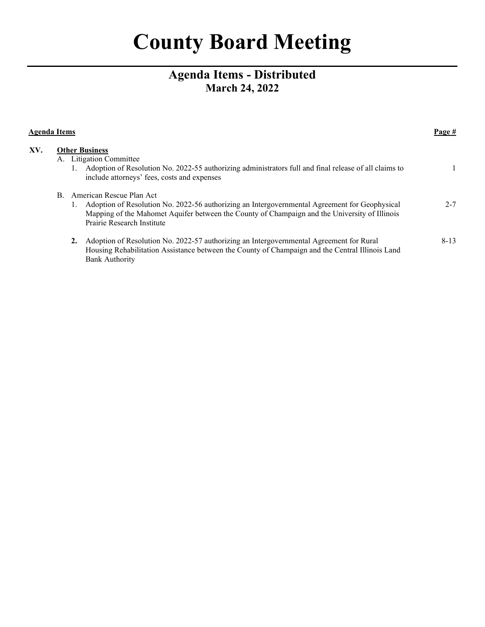# **County Board Meeting**

# **Agenda Items - Distributed March 24, 2022**

| Agenda Items |  |                                                                                                                                                                                                                                                             |          |
|--------------|--|-------------------------------------------------------------------------------------------------------------------------------------------------------------------------------------------------------------------------------------------------------------|----------|
| XV.          |  | <b>Other Business</b><br>A. Litigation Committee<br>1. Adoption of Resolution No. 2022-55 authorizing administrators full and final release of all claims to<br>include attorneys' fees, costs and expenses                                                 |          |
|              |  | B. American Rescue Plan Act<br>Adoption of Resolution No. 2022-56 authorizing an Intergovernmental Agreement for Geophysical<br>Mapping of the Mahomet Aquifer between the County of Champaign and the University of Illinois<br>Prairie Research Institute | $2 - 7$  |
|              |  | Adoption of Resolution No. 2022-57 authorizing an Intergovernmental Agreement for Rural<br>2.<br>Housing Rehabilitation Assistance between the County of Champaign and the Central Illinois Land<br><b>Bank Authority</b>                                   | $8 - 13$ |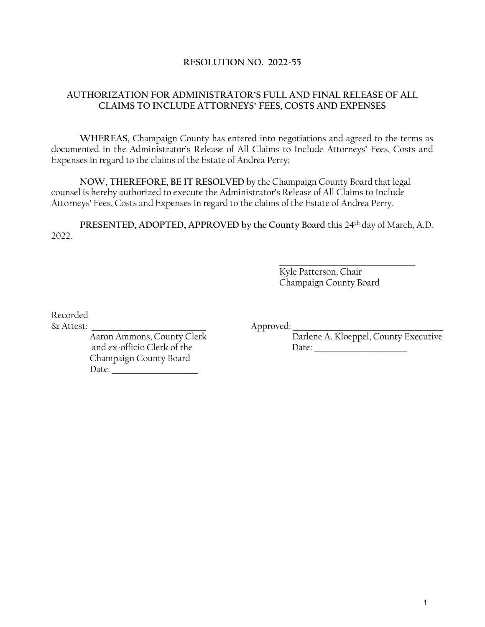#### **RESOLUTION NO. 2022-55**

### **AUTHORIZATION FOR ADMINISTRATOR'S FULL AND FINAL RELEASE OF ALL CLAIMS TO INCLUDE ATTORNEYS' FEES, COSTS AND EXPENSES**

**WHEREAS,** Champaign County has entered into negotiations and agreed to the terms as documented in the Administrator's Release of All Claims to Include Attorneys' Fees, Costs and Expenses in regard to the claims of the Estate of Andrea Perry;

**NOW, THEREFORE, BE IT RESOLVED** by the Champaign County Board that legal counsel is hereby authorized to execute the Administrator's Release of All Claims to Include Attorneys' Fees, Costs and Expenses in regard to the claims of the Estate of Andrea Perry.

**PRESENTED, ADOPTED, APPROVED by the County Board** this 24th day of March, A.D. 2022.

> Kyle Patterson, Chair Champaign County Board

\_\_\_\_\_\_\_\_\_\_\_\_\_\_\_\_\_\_\_\_\_\_\_\_\_\_\_\_\_\_\_\_\_\_\_\_\_\_

Recorded

& Attest: \_\_\_\_\_\_\_\_\_\_\_\_\_\_\_\_\_\_\_\_\_\_\_\_\_\_\_\_\_\_\_\_ Approved: \_\_\_\_\_\_\_\_\_\_\_\_\_\_\_\_\_\_\_\_\_\_\_\_\_\_\_\_\_\_\_\_\_\_\_\_\_\_\_\_\_\_

and ex-officio Clerk of the Date: Champaign County Board Date: \_\_\_\_\_\_\_\_\_\_\_\_\_\_\_\_\_\_\_\_\_\_\_\_

Aaron Ammons, County Clerk Darlene A. Kloeppel, County Executive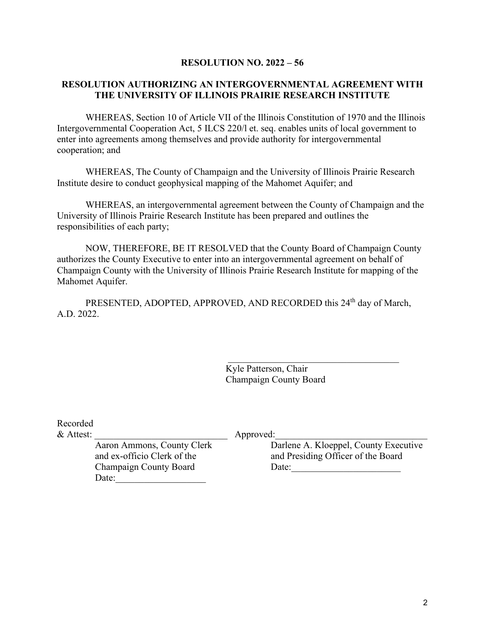#### **RESOLUTION NO. 2022 – 56**

#### **RESOLUTION AUTHORIZING AN INTERGOVERNMENTAL AGREEMENT WITH THE UNIVERSITY OF ILLINOIS PRAIRIE RESEARCH INSTITUTE**

WHEREAS, Section 10 of Article VII of the Illinois Constitution of 1970 and the Illinois Intergovernmental Cooperation Act, 5 ILCS 220/l et. seq. enables units of local government to enter into agreements among themselves and provide authority for intergovernmental cooperation; and

WHEREAS, The County of Champaign and the University of Illinois Prairie Research Institute desire to conduct geophysical mapping of the Mahomet Aquifer; and

WHEREAS, an intergovernmental agreement between the County of Champaign and the University of Illinois Prairie Research Institute has been prepared and outlines the responsibilities of each party;

NOW, THEREFORE, BE IT RESOLVED that the County Board of Champaign County authorizes the County Executive to enter into an intergovernmental agreement on behalf of Champaign County with the University of Illinois Prairie Research Institute for mapping of the Mahomet Aquifer.

PRESENTED, ADOPTED, APPROVED, AND RECORDED this 24<sup>th</sup> day of March, A.D. 2022.

> Kyle Patterson, Chair Champaign County Board

Recorded

Date:

& Attest: \_\_\_\_\_\_\_\_\_\_\_\_\_\_\_\_\_\_\_\_\_\_\_\_\_\_\_\_ Approved:\_\_\_\_\_\_\_\_\_\_\_\_\_\_\_\_\_\_\_\_\_\_\_\_\_\_\_\_\_\_\_\_

Aaron Ammons, County Clerk Darlene A. Kloeppel, County Executive and ex-officio Clerk of the and Presiding Officer of the Board Champaign County Board Date: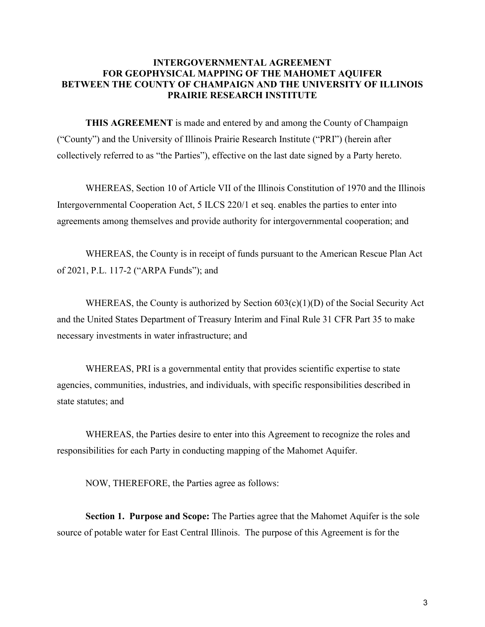#### **INTERGOVERNMENTAL AGREEMENT FOR GEOPHYSICAL MAPPING OF THE MAHOMET AQUIFER BETWEEN THE COUNTY OF CHAMPAIGN AND THE UNIVERSITY OF ILLINOIS PRAIRIE RESEARCH INSTITUTE**

**THIS AGREEMENT** is made and entered by and among the County of Champaign ("County") and the University of Illinois Prairie Research Institute ("PRI") (herein after collectively referred to as "the Parties"), effective on the last date signed by a Party hereto.

WHEREAS, Section 10 of Article VII of the Illinois Constitution of 1970 and the Illinois Intergovernmental Cooperation Act, 5 ILCS 220/1 et seq. enables the parties to enter into agreements among themselves and provide authority for intergovernmental cooperation; and

WHEREAS, the County is in receipt of funds pursuant to the American Rescue Plan Act of 2021, P.L. 117-2 ("ARPA Funds"); and

WHEREAS, the County is authorized by Section  $603(c)(1)(D)$  of the Social Security Act and the United States Department of Treasury Interim and Final Rule 31 CFR Part 35 to make necessary investments in water infrastructure; and

WHEREAS, PRI is a governmental entity that provides scientific expertise to state agencies, communities, industries, and individuals, with specific responsibilities described in state statutes; and

WHEREAS, the Parties desire to enter into this Agreement to recognize the roles and responsibilities for each Party in conducting mapping of the Mahomet Aquifer.

NOW, THEREFORE, the Parties agree as follows:

**Section 1. Purpose and Scope:** The Parties agree that the Mahomet Aquifer is the sole source of potable water for East Central Illinois. The purpose of this Agreement is for the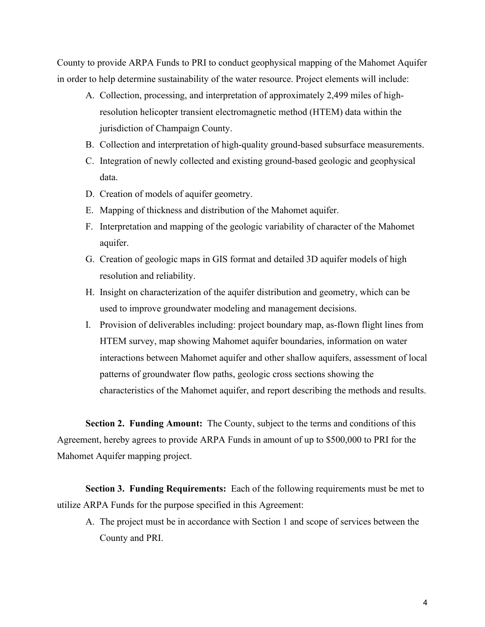County to provide ARPA Funds to PRI to conduct geophysical mapping of the Mahomet Aquifer in order to help determine sustainability of the water resource. Project elements will include:

- A. Collection, processing, and interpretation of approximately 2,499 miles of highresolution helicopter transient electromagnetic method (HTEM) data within the jurisdiction of Champaign County.
- B. Collection and interpretation of high-quality ground-based subsurface measurements.
- C. Integration of newly collected and existing ground-based geologic and geophysical data.
- D. Creation of models of aquifer geometry.
- E. Mapping of thickness and distribution of the Mahomet aquifer.
- F. Interpretation and mapping of the geologic variability of character of the Mahomet aquifer.
- G. Creation of geologic maps in GIS format and detailed 3D aquifer models of high resolution and reliability.
- H. Insight on characterization of the aquifer distribution and geometry, which can be used to improve groundwater modeling and management decisions.
- I. Provision of deliverables including: project boundary map, as-flown flight lines from HTEM survey, map showing Mahomet aquifer boundaries, information on water interactions between Mahomet aquifer and other shallow aquifers, assessment of local patterns of groundwater flow paths, geologic cross sections showing the characteristics of the Mahomet aquifer, and report describing the methods and results.

**Section 2. Funding Amount:** The County, subject to the terms and conditions of this Agreement, hereby agrees to provide ARPA Funds in amount of up to \$500,000 to PRI for the Mahomet Aquifer mapping project.

**Section 3. Funding Requirements:** Each of the following requirements must be met to utilize ARPA Funds for the purpose specified in this Agreement:

A. The project must be in accordance with Section 1 and scope of services between the County and PRI.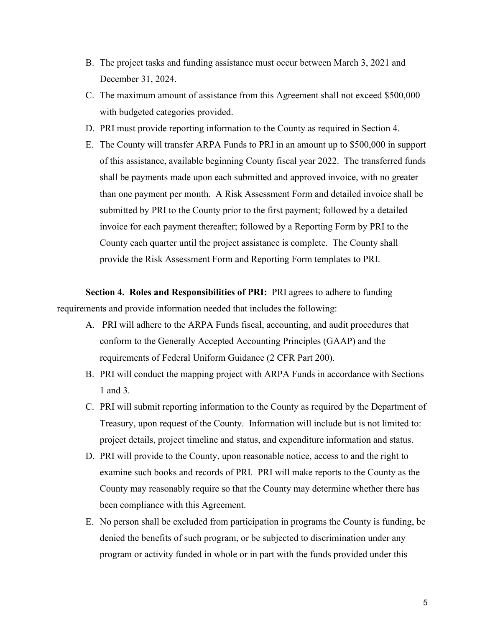- B. The project tasks and funding assistance must occur between March 3, 2021 and December 31, 2024.
- C. The maximum amount of assistance from this Agreement shall not exceed \$500,000 with budgeted categories provided.
- D. PRI must provide reporting information to the County as required in Section 4.
- E. The County will transfer ARPA Funds to PRI in an amount up to \$500,000 in support of this assistance, available beginning County fiscal year 2022. The transferred funds shall be payments made upon each submitted and approved invoice, with no greater than one payment per month. A Risk Assessment Form and detailed invoice shall be submitted by PRI to the County prior to the first payment; followed by a detailed invoice for each payment thereafter; followed by a Reporting Form by PRI to the County each quarter until the project assistance is complete. The County shall provide the Risk Assessment Form and Reporting Form templates to PRI.

**Section 4. Roles and Responsibilities of PRI:** PRI agrees to adhere to funding requirements and provide information needed that includes the following:

- A. PRI will adhere to the ARPA Funds fiscal, accounting, and audit procedures that conform to the Generally Accepted Accounting Principles (GAAP) and the requirements of Federal Uniform Guidance (2 CFR Part 200).
- B. PRI will conduct the mapping project with ARPA Funds in accordance with Sections 1 and 3.
- C. PRI will submit reporting information to the County as required by the Department of Treasury, upon request of the County. Information will include but is not limited to: project details, project timeline and status, and expenditure information and status.
- D. PRI will provide to the County, upon reasonable notice, access to and the right to examine such books and records of PRI. PRI will make reports to the County as the County may reasonably require so that the County may determine whether there has been compliance with this Agreement.
- E. No person shall be excluded from participation in programs the County is funding, be denied the benefits of such program, or be subjected to discrimination under any program or activity funded in whole or in part with the funds provided under this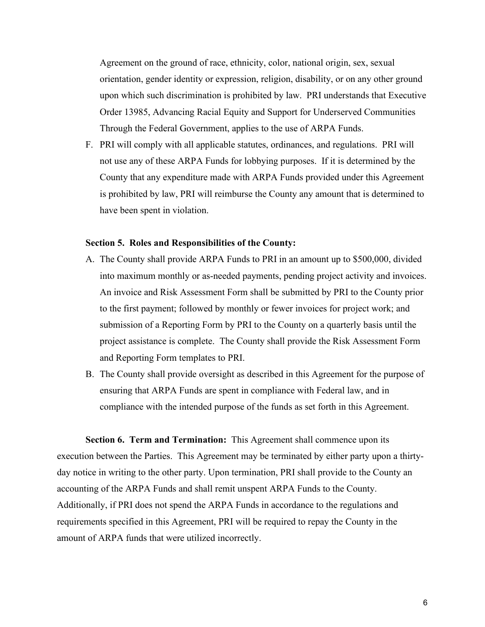Agreement on the ground of race, ethnicity, color, national origin, sex, sexual orientation, gender identity or expression, religion, disability, or on any other ground upon which such discrimination is prohibited by law. PRI understands that Executive Order 13985, Advancing Racial Equity and Support for Underserved Communities Through the Federal Government, applies to the use of ARPA Funds.

F. PRI will comply with all applicable statutes, ordinances, and regulations. PRI will not use any of these ARPA Funds for lobbying purposes. If it is determined by the County that any expenditure made with ARPA Funds provided under this Agreement is prohibited by law, PRI will reimburse the County any amount that is determined to have been spent in violation.

#### **Section 5. Roles and Responsibilities of the County:**

- A. The County shall provide ARPA Funds to PRI in an amount up to \$500,000, divided into maximum monthly or as-needed payments, pending project activity and invoices. An invoice and Risk Assessment Form shall be submitted by PRI to the County prior to the first payment; followed by monthly or fewer invoices for project work; and submission of a Reporting Form by PRI to the County on a quarterly basis until the project assistance is complete. The County shall provide the Risk Assessment Form and Reporting Form templates to PRI.
- B. The County shall provide oversight as described in this Agreement for the purpose of ensuring that ARPA Funds are spent in compliance with Federal law, and in compliance with the intended purpose of the funds as set forth in this Agreement.

**Section 6. Term and Termination:** This Agreement shall commence upon its execution between the Parties. This Agreement may be terminated by either party upon a thirtyday notice in writing to the other party. Upon termination, PRI shall provide to the County an accounting of the ARPA Funds and shall remit unspent ARPA Funds to the County. Additionally, if PRI does not spend the ARPA Funds in accordance to the regulations and requirements specified in this Agreement, PRI will be required to repay the County in the amount of ARPA funds that were utilized incorrectly.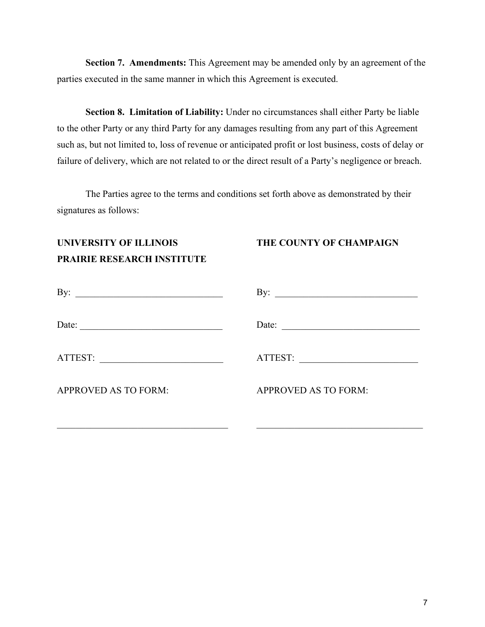**Section 7. Amendments:** This Agreement may be amended only by an agreement of the parties executed in the same manner in which this Agreement is executed.

**Section 8. Limitation of Liability:** Under no circumstances shall either Party be liable to the other Party or any third Party for any damages resulting from any part of this Agreement such as, but not limited to, loss of revenue or anticipated profit or lost business, costs of delay or failure of delivery, which are not related to or the direct result of a Party's negligence or breach.

The Parties agree to the terms and conditions set forth above as demonstrated by their signatures as follows:

## **UNIVERSITY OF ILLINOIS THE COUNTY OF CHAMPAIGN PRAIRIE RESEARCH INSTITUTE**

| By:                                                                                                | By:                         |
|----------------------------------------------------------------------------------------------------|-----------------------------|
| Date:<br>the control of the control of the control of the control of the control of the control of | Date:                       |
| ATTEST:<br><u> 1989 - Johann Stone, Amerikaansk politiker (</u>                                    | ATTEST:                     |
| <b>APPROVED AS TO FORM:</b>                                                                        | <b>APPROVED AS TO FORM:</b> |
|                                                                                                    |                             |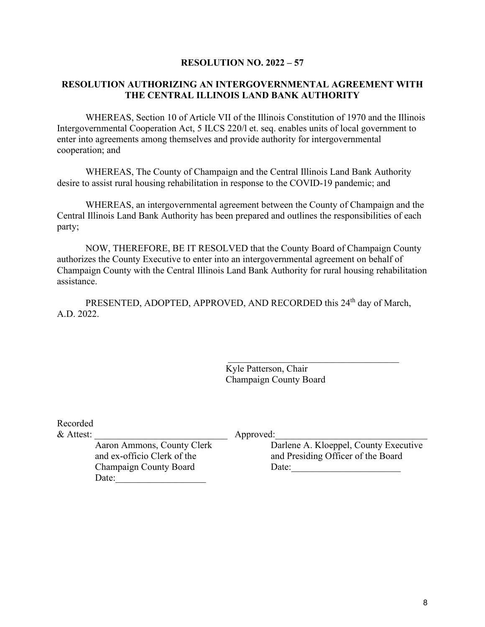#### **RESOLUTION NO. 2022 – 57**

#### **RESOLUTION AUTHORIZING AN INTERGOVERNMENTAL AGREEMENT WITH THE CENTRAL ILLINOIS LAND BANK AUTHORITY**

WHEREAS, Section 10 of Article VII of the Illinois Constitution of 1970 and the Illinois Intergovernmental Cooperation Act, 5 ILCS 220/l et. seq. enables units of local government to enter into agreements among themselves and provide authority for intergovernmental cooperation; and

WHEREAS, The County of Champaign and the Central Illinois Land Bank Authority desire to assist rural housing rehabilitation in response to the COVID-19 pandemic; and

WHEREAS, an intergovernmental agreement between the County of Champaign and the Central Illinois Land Bank Authority has been prepared and outlines the responsibilities of each party;

NOW, THEREFORE, BE IT RESOLVED that the County Board of Champaign County authorizes the County Executive to enter into an intergovernmental agreement on behalf of Champaign County with the Central Illinois Land Bank Authority for rural housing rehabilitation assistance.

PRESENTED, ADOPTED, APPROVED, AND RECORDED this 24<sup>th</sup> day of March, A.D. 2022.

> Kyle Patterson, Chair Champaign County Board

Recorded

& Attest: \_\_\_\_\_\_\_\_\_\_\_\_\_\_\_\_\_\_\_\_\_\_\_\_\_\_\_\_ Approved:\_\_\_\_\_\_\_\_\_\_\_\_\_\_\_\_\_\_\_\_\_\_\_\_\_\_\_\_\_\_\_\_

Champaign County Board Date: Date:

Aaron Ammons, County Clerk Darlene A. Kloeppel, County Executive and ex-officio Clerk of the and Presiding Officer of the Board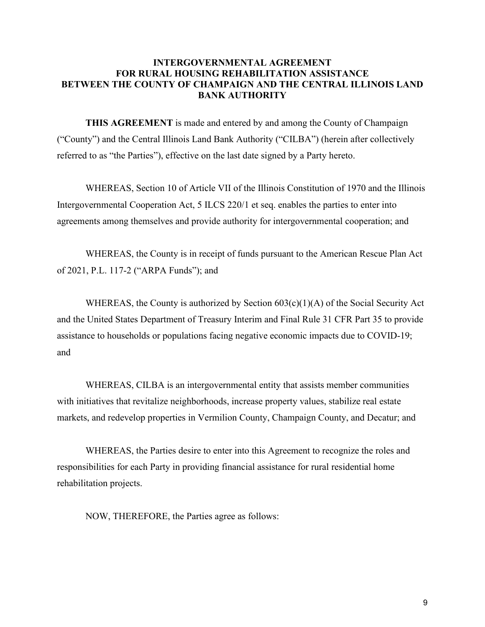#### **INTERGOVERNMENTAL AGREEMENT FOR RURAL HOUSING REHABILITATION ASSISTANCE BETWEEN THE COUNTY OF CHAMPAIGN AND THE CENTRAL ILLINOIS LAND BANK AUTHORITY**

**THIS AGREEMENT** is made and entered by and among the County of Champaign ("County") and the Central Illinois Land Bank Authority ("CILBA") (herein after collectively referred to as "the Parties"), effective on the last date signed by a Party hereto.

WHEREAS, Section 10 of Article VII of the Illinois Constitution of 1970 and the Illinois Intergovernmental Cooperation Act, 5 ILCS 220/1 et seq. enables the parties to enter into agreements among themselves and provide authority for intergovernmental cooperation; and

WHEREAS, the County is in receipt of funds pursuant to the American Rescue Plan Act of 2021, P.L. 117-2 ("ARPA Funds"); and

WHEREAS, the County is authorized by Section  $603(c)(1)(A)$  of the Social Security Act and the United States Department of Treasury Interim and Final Rule 31 CFR Part 35 to provide assistance to households or populations facing negative economic impacts due to COVID-19; and

WHEREAS, CILBA is an intergovernmental entity that assists member communities with initiatives that revitalize neighborhoods, increase property values, stabilize real estate markets, and redevelop properties in Vermilion County, Champaign County, and Decatur; and

WHEREAS, the Parties desire to enter into this Agreement to recognize the roles and responsibilities for each Party in providing financial assistance for rural residential home rehabilitation projects.

NOW, THEREFORE, the Parties agree as follows: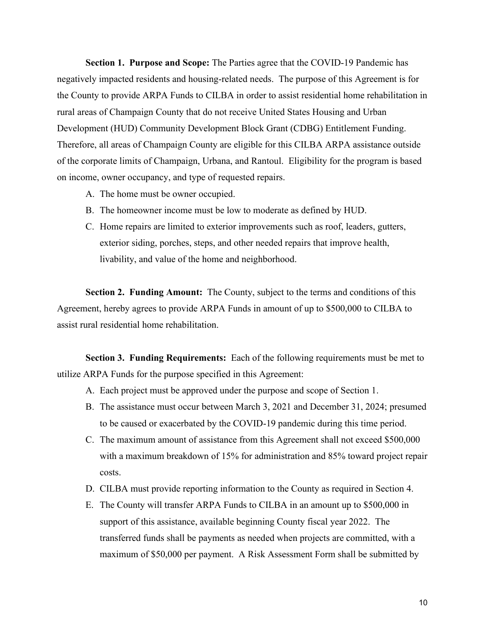**Section 1. Purpose and Scope:** The Parties agree that the COVID-19 Pandemic has negatively impacted residents and housing-related needs. The purpose of this Agreement is for the County to provide ARPA Funds to CILBA in order to assist residential home rehabilitation in rural areas of Champaign County that do not receive United States Housing and Urban Development (HUD) Community Development Block Grant (CDBG) Entitlement Funding. Therefore, all areas of Champaign County are eligible for this CILBA ARPA assistance outside of the corporate limits of Champaign, Urbana, and Rantoul. Eligibility for the program is based on income, owner occupancy, and type of requested repairs.

- A. The home must be owner occupied.
- B. The homeowner income must be low to moderate as defined by HUD.
- C. Home repairs are limited to exterior improvements such as roof, leaders, gutters, exterior siding, porches, steps, and other needed repairs that improve health, livability, and value of the home and neighborhood.

**Section 2. Funding Amount:** The County, subject to the terms and conditions of this Agreement, hereby agrees to provide ARPA Funds in amount of up to \$500,000 to CILBA to assist rural residential home rehabilitation.

**Section 3. Funding Requirements:** Each of the following requirements must be met to utilize ARPA Funds for the purpose specified in this Agreement:

- A. Each project must be approved under the purpose and scope of Section 1.
- B. The assistance must occur between March 3, 2021 and December 31, 2024; presumed to be caused or exacerbated by the COVID-19 pandemic during this time period.
- C. The maximum amount of assistance from this Agreement shall not exceed \$500,000 with a maximum breakdown of 15% for administration and 85% toward project repair costs.
- D. CILBA must provide reporting information to the County as required in Section 4.
- E. The County will transfer ARPA Funds to CILBA in an amount up to \$500,000 in support of this assistance, available beginning County fiscal year 2022. The transferred funds shall be payments as needed when projects are committed, with a maximum of \$50,000 per payment. A Risk Assessment Form shall be submitted by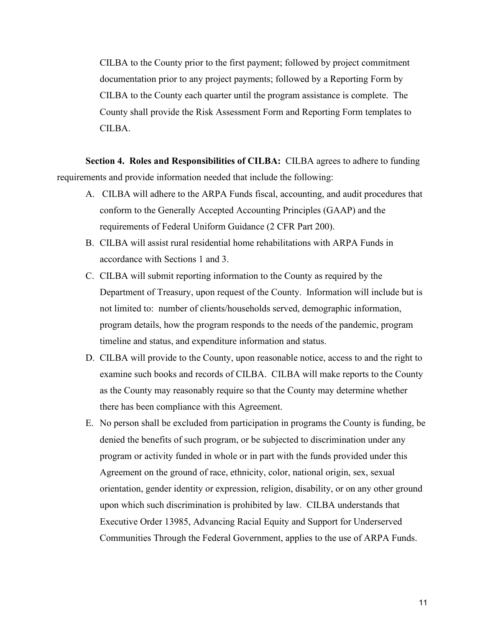CILBA to the County prior to the first payment; followed by project commitment documentation prior to any project payments; followed by a Reporting Form by CILBA to the County each quarter until the program assistance is complete. The County shall provide the Risk Assessment Form and Reporting Form templates to CILBA.

**Section 4. Roles and Responsibilities of CILBA:** CILBA agrees to adhere to funding requirements and provide information needed that include the following:

- A. CILBA will adhere to the ARPA Funds fiscal, accounting, and audit procedures that conform to the Generally Accepted Accounting Principles (GAAP) and the requirements of Federal Uniform Guidance (2 CFR Part 200).
- B. CILBA will assist rural residential home rehabilitations with ARPA Funds in accordance with Sections 1 and 3.
- C. CILBA will submit reporting information to the County as required by the Department of Treasury, upon request of the County. Information will include but is not limited to: number of clients/households served, demographic information, program details, how the program responds to the needs of the pandemic, program timeline and status, and expenditure information and status.
- D. CILBA will provide to the County, upon reasonable notice, access to and the right to examine such books and records of CILBA. CILBA will make reports to the County as the County may reasonably require so that the County may determine whether there has been compliance with this Agreement.
- E. No person shall be excluded from participation in programs the County is funding, be denied the benefits of such program, or be subjected to discrimination under any program or activity funded in whole or in part with the funds provided under this Agreement on the ground of race, ethnicity, color, national origin, sex, sexual orientation, gender identity or expression, religion, disability, or on any other ground upon which such discrimination is prohibited by law. CILBA understands that Executive Order 13985, Advancing Racial Equity and Support for Underserved Communities Through the Federal Government, applies to the use of ARPA Funds.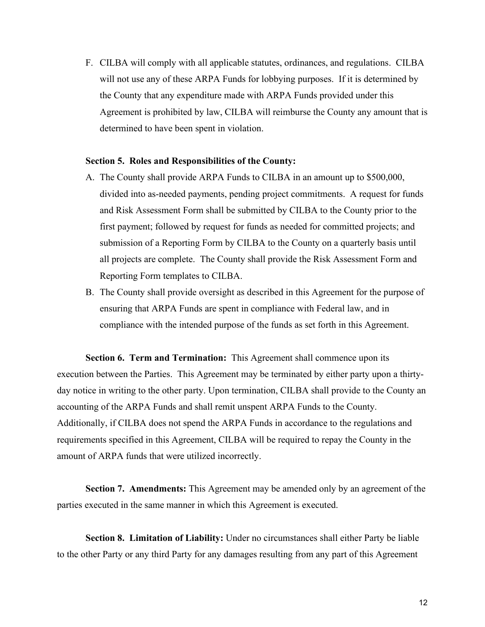F. CILBA will comply with all applicable statutes, ordinances, and regulations. CILBA will not use any of these ARPA Funds for lobbying purposes. If it is determined by the County that any expenditure made with ARPA Funds provided under this Agreement is prohibited by law, CILBA will reimburse the County any amount that is determined to have been spent in violation.

#### **Section 5. Roles and Responsibilities of the County:**

- A. The County shall provide ARPA Funds to CILBA in an amount up to \$500,000, divided into as-needed payments, pending project commitments. A request for funds and Risk Assessment Form shall be submitted by CILBA to the County prior to the first payment; followed by request for funds as needed for committed projects; and submission of a Reporting Form by CILBA to the County on a quarterly basis until all projects are complete. The County shall provide the Risk Assessment Form and Reporting Form templates to CILBA.
- B. The County shall provide oversight as described in this Agreement for the purpose of ensuring that ARPA Funds are spent in compliance with Federal law, and in compliance with the intended purpose of the funds as set forth in this Agreement.

**Section 6. Term and Termination:** This Agreement shall commence upon its execution between the Parties. This Agreement may be terminated by either party upon a thirtyday notice in writing to the other party. Upon termination, CILBA shall provide to the County an accounting of the ARPA Funds and shall remit unspent ARPA Funds to the County. Additionally, if CILBA does not spend the ARPA Funds in accordance to the regulations and requirements specified in this Agreement, CILBA will be required to repay the County in the amount of ARPA funds that were utilized incorrectly.

**Section 7. Amendments:** This Agreement may be amended only by an agreement of the parties executed in the same manner in which this Agreement is executed.

**Section 8. Limitation of Liability:** Under no circumstances shall either Party be liable to the other Party or any third Party for any damages resulting from any part of this Agreement